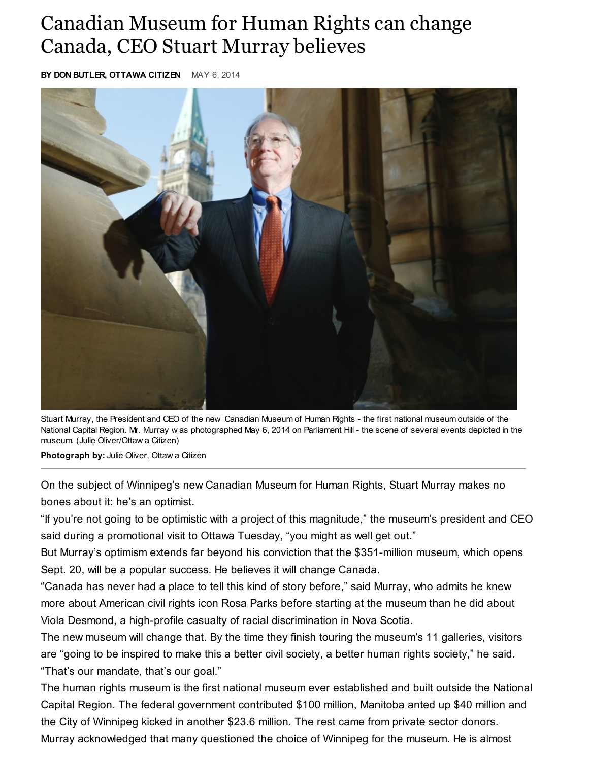## Canadian Museum for Human Rights can change Canada, CEO Stuart Murray believes

BY DON BUTLER, OTTAWA CITIZEN MAY 6, 2014



Stuart Murray, the President and CEO of the new Canadian Museum of Human Rights - the first national museum outside of the National Capital Region. Mr. Murray w as photographed May 6, 2014 on Parliament Hill - the scene of several events depicted in the museum. (Julie Oliver/Ottaw a Citizen)

Photograph by: Julie Oliver, Ottaw a Citizen

On the subject of Winnipeg's new Canadian Museum for Human Rights, Stuart Murray makes no bones about it: he's an optimist.

"If you're not going to be optimistic with a project of this magnitude," the museum's president and CEO said during a promotional visit to Ottawa Tuesday, "you might as well get out."

But Murray's optimism extends far beyond his conviction that the \$351-million museum, which opens Sept. 20, will be a popular success. He believes it will change Canada.

"Canada has never had a place to tell this kind of story before," said Murray, who admits he knew more about American civil rights icon Rosa Parks before starting at the museum than he did about Viola Desmond, a high-profile casualty of racial discrimination in Nova Scotia.

The new museum will change that. By the time they finish touring the museum's 11 galleries, visitors are "going to be inspired to make this a better civil society, a better human rights society," he said. "That's our mandate, that's our goal."

The human rights museum is the first national museum ever established and built outside the National Capital Region. The federal government contributed \$100 million, Manitoba anted up \$40 million and the City of Winnipeg kicked in another \$23.6 million. The rest came from private sector donors. Murray acknowledged that many questioned the choice of Winnipeg for the museum. He is almost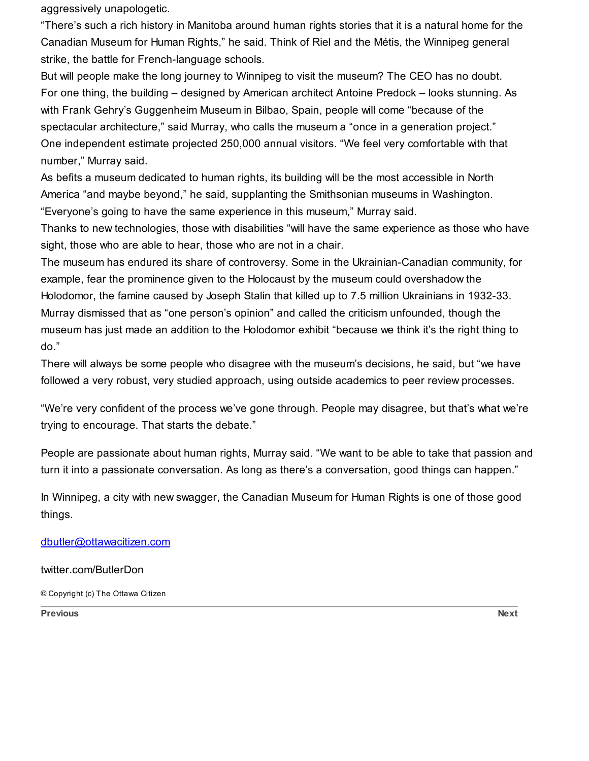aggressively unapologetic.

"There's such a rich history in Manitoba around human rights stories that it is a natural home for the Canadian Museum for Human Rights," he said. Think of Riel and the Métis, the Winnipeg general strike, the battle for French-language schools.

But will people make the long journey to Winnipeg to visit the museum? The CEO has no doubt. For one thing, the building – designed by American architect Antoine Predock – looks stunning. As with Frank Gehry's Guggenheim Museum in Bilbao, Spain, people will come "because of the spectacular architecture," said Murray, who calls the museum a "once in a generation project." One independent estimate projected 250,000 annual visitors. "We feel very comfortable with that number," Murray said.

As befits a museum dedicated to human rights, its building will be the most accessible in North America "and maybe beyond," he said, supplanting the Smithsonian museums in Washington. "Everyone's going to have the same experience in this museum," Murray said.

Thanks to new technologies, those with disabilities "will have the same experience as those who have sight, those who are able to hear, those who are not in a chair.

The museum has endured its share of controversy. Some in the Ukrainian-Canadian community, for example, fear the prominence given to the Holocaust by the museum could overshadow the Holodomor, the famine caused by Joseph Stalin that killed up to 7.5 million Ukrainians in 1932-33. Murray dismissed that as "one person's opinion" and called the criticism unfounded, though the museum has just made an addition to the Holodomor exhibit "because we think it's the right thing to do."

There will always be some people who disagree with the museum's decisions, he said, but "we have followed a very robust, very studied approach, using outside academics to peer review processes.

"We're very confident of the process we've gone through. People may disagree, but that's what we're trying to encourage. That starts the debate."

People are passionate about human rights, Murray said. "We want to be able to take that passion and turn it into a passionate conversation. As long as there's a conversation, good things can happen."

In Winnipeg, a city with new swagger, the Canadian Museum for Human Rights is one of those good things.

[dbutler@ottawacitizen.com](mailto:dbutler@ottawacitizen.com)

twitter.com/ButlerDon

© Copyright (c) The Ottawa Citizen

extending the contract of the contract of the contract of the contract of the contract of the contract of the contract of the contract of the contract of the contract of the contract of the contract of the contract of the